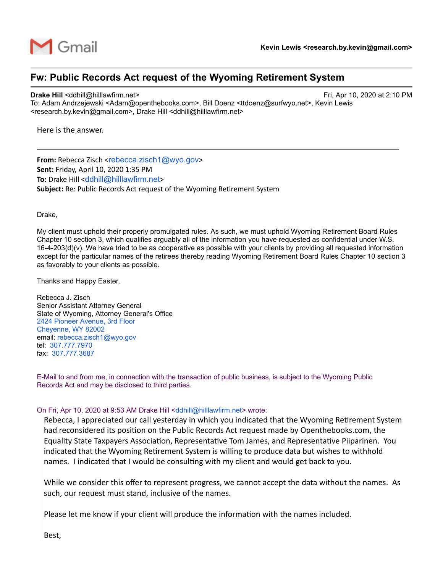

## **Fw: Public Records Act request of the Wyoming Retirement System**

## **Drake Hill** <ddhill@hilllawfirm.net> Fri, Apr 10, 2020 at 2:10 PM

To: Adam Andrzejewski <Adam@openthebooks.com>, Bill Doenz <ttdoenz@surfwyo.net>, Kevin Lewis <research.by.kevin@gmail.com>, Drake Hill <ddhill@hilllawfirm.net>

Here is the answer.

**From:** Rebecca Zisch <rebecca.zisch1@wyo.gov> **Sent:** Friday, April 10, 2020 1:35 PM **To:** Drake Hill <ddhill@hilllawfirm.net> **Subject:** Re: Public Records Act request of the Wyoming Retirement System

Drake,

My client must uphold their properly promulgated rules. As such, we must uphold Wyoming Retirement Board Rules Chapter 10 section 3, which qualifies arguably all of the information you have requested as confidential under W.S. 16-4-203(d)(v). We have tried to be as cooperative as possible with your clients by providing all requested information except for the particular names of the retirees thereby reading Wyoming Retirement Board Rules Chapter 10 section 3 as favorably to your clients as possible.

Thanks and Happy Easter,

Rebecca J. Zisch Senior Assistant Attorney General State of Wyoming, Attorney General's Office 2424 Pioneer Avenue, 3rd Floor Cheyenne, WY 82002 email: rebecca.zisch1@wyo.gov tel: 307.777.7970 fax: 307.777.3687

E-Mail to and from me, in connection with the transaction of public business, is subject to the Wyoming Public Records Act and may be disclosed to third parties.

## On Fri, Apr 10, 2020 at 9:53 AM Drake Hill <ddhill@hilllawfirm.net> wrote:

Rebecca, I appreciated our call yesterday in which you indicated that the Wyoming Retirement System had reconsidered its position on the Public Records Act request made by Openthebooks.com, the Equality State Taxpayers Association, Representative Tom James, and Representative Piiparinen. You indicated that the Wyoming Retirement System is willing to produce data but wishes to withhold names. I indicated that I would be consulting with my client and would get back to you.

While we consider this offer to represent progress, we cannot accept the data without the names. As such, our request must stand, inclusive of the names.

Please let me know if your client will produce the information with the names included.

Best,